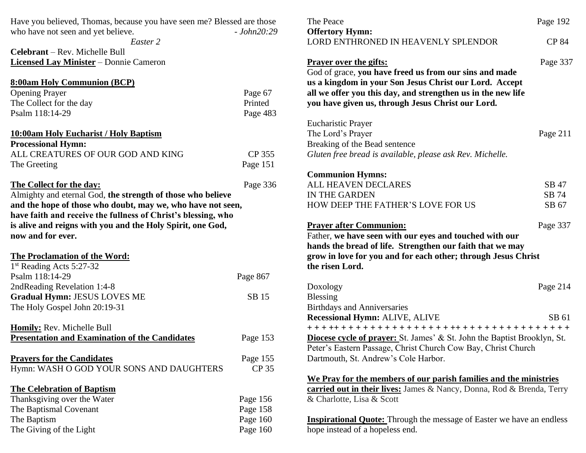| Have you believed, Thomas, because you have seen me? Blessed are those |              | The Peace                                                                       | Page 192     |
|------------------------------------------------------------------------|--------------|---------------------------------------------------------------------------------|--------------|
| who have not seen and yet believe.                                     | $-John20:29$ | <b>Offertory Hymn:</b>                                                          |              |
| Easter 2                                                               |              | LORD ENTHRONED IN HEAVENLY SPLENDOR                                             | <b>CP 84</b> |
| Celebrant - Rev. Michelle Bull                                         |              |                                                                                 |              |
| <b>Licensed Lay Minister</b> - Donnie Cameron                          |              | <b>Prayer over the gifts:</b>                                                   | Page 337     |
|                                                                        |              | God of grace, you have freed us from our sins and made                          |              |
| <b>8:00am Holy Communion (BCP)</b>                                     |              | us a kingdom in your Son Jesus Christ our Lord. Accept                          |              |
| <b>Opening Prayer</b>                                                  | Page 67      | all we offer you this day, and strengthen us in the new life                    |              |
| The Collect for the day                                                | Printed      | you have given us, through Jesus Christ our Lord.                               |              |
| Psalm 118:14-29                                                        | Page 483     |                                                                                 |              |
|                                                                        |              | <b>Eucharistic Prayer</b>                                                       |              |
| 10:00am Holy Eucharist / Holy Baptism                                  |              | The Lord's Prayer                                                               | Page 211     |
| <b>Processional Hymn:</b>                                              |              | Breaking of the Bead sentence                                                   |              |
| ALL CREATURES OF OUR GOD AND KING                                      | CP 355       | Gluten free bread is available, please ask Rev. Michelle.                       |              |
| The Greeting                                                           | Page 151     |                                                                                 |              |
|                                                                        |              | <b>Communion Hymns:</b>                                                         |              |
| <b>The Collect for the day:</b>                                        | Page 336     | ALL HEAVEN DECLARES                                                             | SB 47        |
| Almighty and eternal God, the strength of those who believe            |              | IN THE GARDEN                                                                   | SB 74        |
| and the hope of those who doubt, may we, who have not seen,            |              | HOW DEEP THE FATHER'S LOVE FOR US                                               | SB 67        |
| have faith and receive the fullness of Christ's blessing, who          |              |                                                                                 |              |
| is alive and reigns with you and the Holy Spirit, one God,             |              | <b>Prayer after Communion:</b>                                                  | Page 337     |
| now and for ever.                                                      |              | Father, we have seen with our eyes and touched with our                         |              |
|                                                                        |              | hands the bread of life. Strengthen our faith that we may                       |              |
| <b>The Proclamation of the Word:</b>                                   |              | grow in love for you and for each other; through Jesus Christ                   |              |
| 1st Reading Acts 5:27-32                                               |              | the risen Lord.                                                                 |              |
| Psalm 118:14-29                                                        | Page 867     |                                                                                 |              |
| 2ndReading Revelation 1:4-8                                            |              | Doxology                                                                        | Page 214     |
| <b>Gradual Hymn: JESUS LOVES ME</b>                                    | SB 15        | <b>Blessing</b>                                                                 |              |
| The Holy Gospel John 20:19-31                                          |              | <b>Birthdays and Anniversaries</b>                                              |              |
|                                                                        |              | <b>Recessional Hymn: ALIVE, ALIVE</b>                                           | SB 61        |
| Homily: Rev. Michelle Bull                                             |              | +++++++++++++++++++++++++++++++++++++                                           |              |
| <b>Presentation and Examination of the Candidates</b>                  | Page 153     | <b>Diocese cycle of prayer:</b> St. James' & St. John the Baptist Brooklyn, St. |              |
|                                                                        |              | Peter's Eastern Passage, Christ Church Cow Bay, Christ Church                   |              |
| <b>Prayers for the Candidates</b>                                      | Page 155     | Dartmouth, St. Andrew's Cole Harbor.                                            |              |
| Hymn: WASH O GOD YOUR SONS AND DAUGHTERS                               | CP 35        |                                                                                 |              |
|                                                                        |              | We Pray for the members of our parish families and the ministries               |              |
| <b>The Celebration of Baptism</b>                                      |              | carried out in their lives: James & Nancy, Donna, Rod & Brenda, Terry           |              |
| Thanksgiving over the Water                                            | Page 156     | & Charlotte, Lisa & Scott                                                       |              |
| The Baptismal Covenant                                                 | Page 158     |                                                                                 |              |
| The Baptism                                                            | Page 160     | <b>Inspirational Quote:</b> Through the message of Easter we have an endless    |              |
| The Giving of the Light                                                | Page 160     | hope instead of a hopeless end.                                                 |              |
|                                                                        |              |                                                                                 |              |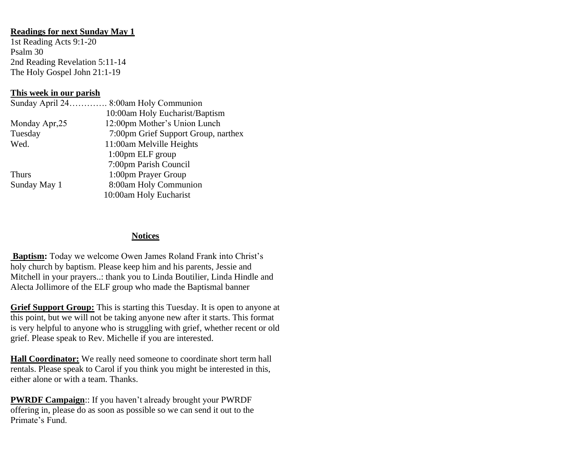## **Readings for next Sunday May 1**

1st Reading Acts 9:1-20 Psalm 30 2nd Reading Revelation 5:11-14 The Holy Gospel John 21:1-19

## **This week in our parish**

|                | Sunday April 24 8:00am Holy Communion |
|----------------|---------------------------------------|
|                | 10:00am Holy Eucharist/Baptism        |
| Monday Apr, 25 | 12:00pm Mother's Union Lunch          |
| Tuesday        | 7:00pm Grief Support Group, narthex   |
| Wed.           | 11:00am Melville Heights              |
|                | $1:00$ pm ELF group                   |
|                | 7:00pm Parish Council                 |
| <b>Thurs</b>   | 1:00pm Prayer Group                   |
| Sunday May 1   | 8:00am Holy Communion                 |
|                | 10:00am Holy Eucharist                |

## **Notices**

**Baptism:** Today we welcome Owen James Roland Frank into Christ's holy church by baptism. Please keep him and his parents, Jessie and Mitchell in your prayers..: thank you to Linda Boutilier, Linda Hindle and Alecta Jollimore of the ELF group who made the Baptismal banner

**Grief Support Group:** This is starting this Tuesday. It is open to anyone at this point, but we will not be taking anyone new after it starts. This format is very helpful to anyone who is struggling with grief, whether recent or old grief. Please speak to Rev. Michelle if you are interested.

**Hall Coordinator:** We really need someone to coordinate short term hall rentals. Please speak to Carol if you think you might be interested in this, either alone or with a team. Thanks.

**PWRDF Campaign**:: If you haven't already brought your PWRDF offering in, please do as soon as possible so we can send it out to the Primate's Fund.